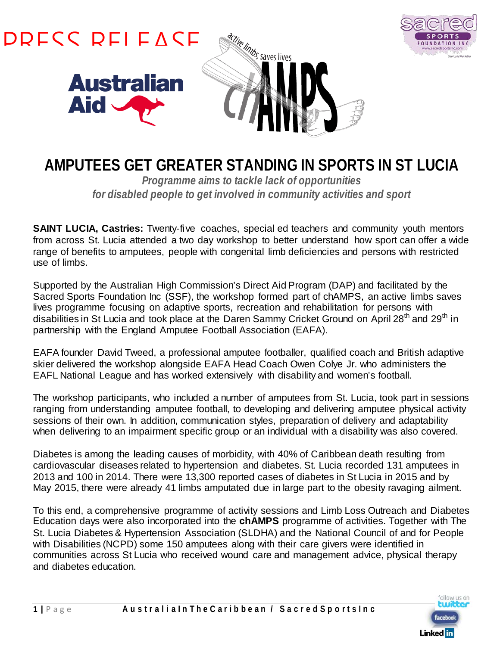



*Programme aims to tackle lack of opportunities for disabled people to get involved in community activities and sport*

**SAINT LUCIA, Castries:** Twenty-five coaches, special ed teachers and community youth mentors from across St. Lucia attended a two day workshop to better understand how sport can offer a wide range of benefits to amputees, people with congenital limb deficiencies and persons with restricted use of limbs.

Supported by the Australian High Commission's Direct Aid Program (DAP) and facilitated by the Sacred Sports Foundation Inc (SSF), the workshop formed part of chAMPS, an active limbs saves lives programme focusing on adaptive sports, recreation and rehabilitation for persons with disabilities in St Lucia and took place at the Daren Sammy Cricket Ground on April 28<sup>th</sup> and 29<sup>th</sup> in partnership with the England Amputee Football Association (EAFA).

EAFA founder David Tweed, a professional amputee footballer, qualified coach and British adaptive skier delivered the workshop alongside EAFA Head Coach Owen Colye Jr. who administers the EAFL National League and has worked extensively with disability and women's football.

The workshop participants, who included a number of amputees from St. Lucia, took part in sessions ranging from understanding amputee football, to developing and delivering amputee physical activity sessions of their own. In addition, communication styles, preparation of delivery and adaptability when delivering to an impairment specific group or an individual with a disability was also covered.

Diabetes is among the leading causes of morbidity, with 40% of Caribbean death resulting from cardiovascular diseases related to hypertension and diabetes. St. Lucia recorded 131 amputees in 2013 and 100 in 2014. There were 13,300 reported cases of diabetes in St Lucia in 2015 and by May 2015, there were already 41 limbs amputated due in large part to the obesity ravaging ailment.

To this end, a comprehensive programme of activity sessions and Limb Loss Outreach and Diabetes Education days were also incorporated into the **chAMPS** programme of activities. Together with The St. Lucia Diabetes & Hypertension Association (SLDHA) and the National Council of and for People with Disabilities (NCPD) some 150 amputees along with their care givers were identified in communities across St Lucia who received wound care and management advice, physical therapy and diabetes education.